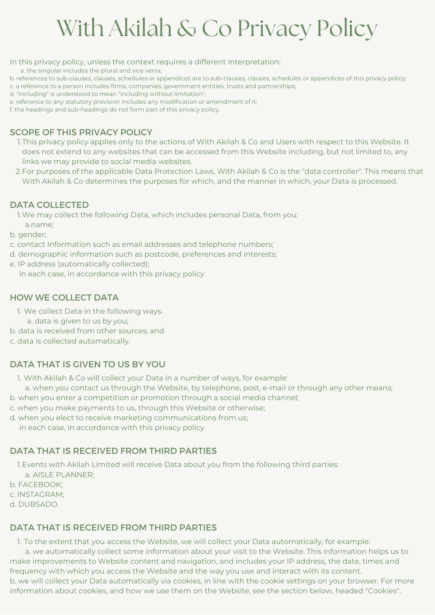In this privacy policy, unless the context requires a different interpretation:

a. the singular includes the plural and vice versa;

- b. references to sub-clauses, clauses, schedules or appendices are to sub-clauses, clauses, schedules or appendices of this privacy policy;
- c. a reference to a person includes firms, companies, government entities, trusts and partnerships;
- d. "including" is understood to mean "including without limitation";
- e. reference to any statutory provision includes any modification or amendment of it;

f. the headings and sub-headings do not form part of this privacy policy.

## SCOPE OF THIS PRIVACY POLICY

- 1.This privacy policy applies only to the actions of With Akilah & Co and Users with respect to this Website. It does not extend to any websites that can be accessed from this Website including, but not limited to, any links we may provide to social media websites.
- 2.For purposes of the applicable Data Protection Laws, With Akilah & Co is the "data controller". This means that With Akilah & Co determines the purposes for which, and the manner in which, your Data is processed.

### DATA COLLECTED

1.We may collect the following Data, which includes personal Data, from you: a.name;

- b. gender;
- c. contact Information such as email addresses and telephone numbers;
- d. demographic information such as postcode, preferences and interests;
- e. IP address (automatically collected);
	- in each case, in accordance with this privacy policy.

### HOW WE COLLECT DATA

- 1. We collect Data in the following ways:
	- a. data is given to us by you;
- b. data is received from other sources; and

c. data is collected automatically.

## DATA THAT IS GIVEN TO US BY YOU

- 1. With Akilah & Co will collect your Data in a number of ways, for example:
- a. when you contact us through the Website, by telephone, post, e-mail or through any other means;
- b. when you enter a competition or promotion through a social media channel;
- c. when you make payments to us, through this Website or otherwise;
- d. when you elect to receive marketing communications from us;
	- in each case, in accordance with this privacy policy.

## DATA THAT IS RECEIVED FROM THIRD PARTIES

- 1.Events with Akilah Limited will receive Data about you from the following third parties: a. AISLE PLANNER;
- b. FACEBOOK;
- c. INSTAGRAM;
- d. DUBSADO.

## DATA THAT IS RECEIVED FROM THIRD PARTIES

1. To the extent that you access the Website, we will collect your Data automatically, for example:

a. we automatically collect some information about your visit to the Website. This information helps us to make improvements to Website content and navigation, and includes your IP address, the date, times and frequency with which you access the Website and the way you use and interact with its content. b. we will collect your Data automatically via cookies, in line with the cookie settings on your browser. For more information about cookies, and how we use them on the Website, see the section below, headed "Cookies".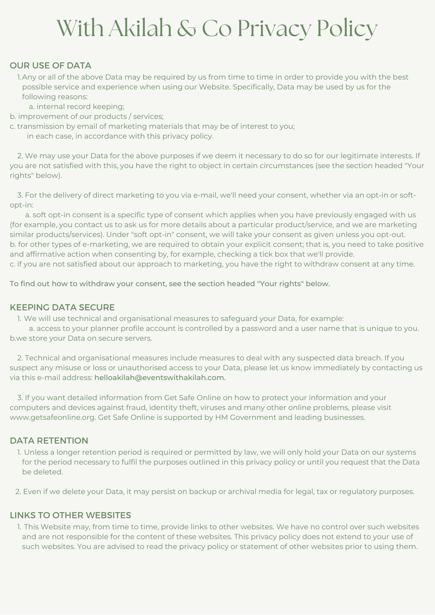#### OUR USE OF DATA

- 1.Any or all of the above Data may be required by us from time to time in order to provide you with the best possible service and experience when using our Website. Specifically, Data may be used by us for the following reasons:
	- a. internal record keeping;
- b. improvement of our products / services;
- c. transmission by email of marketing materials that may be of interest to you; in each case, in accordance with this privacy policy.

2. We may use your Data for the above purposes if we deem it necessary to do so for our legitimate interests. If you are not satisfied with this, you have the right to object in certain circumstances (see the section headed "Your rights" below).

3. For the delivery of direct marketing to you via e-mail, we'll need your consent, whether via an opt-in or softopt-in:

a. soft opt-in consent is a specific type of consent which applies when you have previously engaged with us (for example, you contact us to ask us for more details about a particular product/service, and we are marketing similar products/services). Under "soft opt-in" consent, we will take your consent as given unless you opt-out. b. for other types of e-marketing, we are required to obtain your explicit consent; that is, you need to take positive and affirmative action when consenting by, for example, checking a tick box that we'll provide. c. if you are not satisfied about our approach to marketing, you have the right to withdraw consent at any time.

To find out how to withdraw your consent, see the section headed "Your rights" below.

#### KEEPING DATA SECURE

1. We will use technical and organisational measures to safeguard your Data, for example:

a. access to your planner profile account is controlled by a password and a user name that is unique to you. b.we store your Data on secure servers.

2. Technical and organisational measures include measures to deal with any suspected data breach. If you suspect any misuse or loss or unauthorised access to your Data, please let us know immediately by contacting us via this e-mail address: helloakilah@eventswithakilah.com.

3. If you want detailed information from Get Safe Online on how to protect your information and your computers and devices against fraud, identity theft, viruses and many other online problems, please visit www.getsafeonline.org. Get Safe Online is supported by HM Government and leading businesses.

#### DATA RETENTION

Unless a longer retention period is required or permitted by law, we will only hold your Data on our systems 1. for the period necessary to fulfil the purposes outlined in this privacy policy or until you request that the Data be deleted.

2. Even if we delete your Data, it may persist on backup or archival media for legal, tax or regulatory purposes.

#### LINKS TO OTHER WEBSITES

1. This Website may, from time to time, provide links to other websites. We have no control over such websites and are not responsible for the content of these websites. This privacy policy does not extend to your use of such websites. You are advised to read the privacy policy or statement of other websites prior to using them.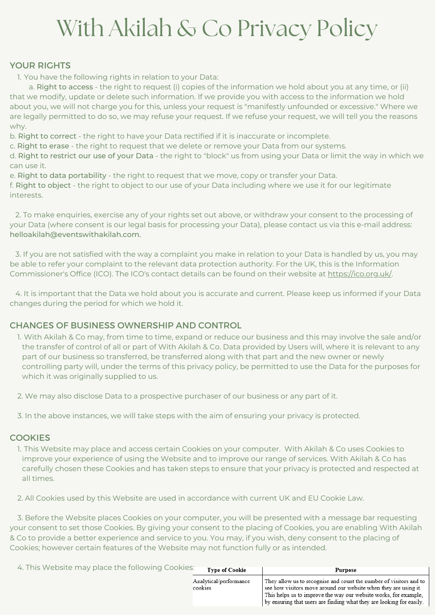### YOUR RIGHTS

1. You have the following rights in relation to your Data:

a. Right to access - the right to request (i) copies of the information we hold about you at any time, or (ii) that we modify, update or delete such information. If we provide you with access to the information we hold about you, we will not charge you for this, unless your request is "manifestly unfounded or excessive." Where we are legally permitted to do so, we may refuse your request. If we refuse your request, we will tell you the reasons why.

b. Right to correct - the right to have your Data rectified if it is inaccurate or incomplete.

c. Right to erase - the right to request that we delete or remove your Data from our systems.

d. Right to restrict our use of your Data - the right to "block" us from using your Data or limit the way in which we can use it.

e. Right to data portability - the right to request that we move, copy or transfer your Data.

f. Right to object - the right to object to our use of your Data including where we use it for our legitimate interests.

2. To make enquiries, exercise any of your rights set out above, or withdraw your consent to the processing of your Data (where consent is our legal basis for processing your Data), please contact us via this e-mail address: helloakilah@eventswithakilah.com.

3. If you are not satisfied with the way a complaint you make in relation to your Data is handled by us, you may be able to refer your complaint to the relevant data protection authority. For the UK, this is the Information Commissioner's Office (ICO). The ICO's contact details can be found on their website at [https://ico.org.uk/.](https://ico.org.uk/)

4. It is important that the Data we hold about you is accurate and current. Please keep us informed if your Data changes during the period for which we hold it.

### CHANGES OF BUSINESS OWNERSHIP AND CONTROL

1. With Akilah & Co may, from time to time, expand or reduce our business and this may involve the sale and/or the transfer of control of all or part of With Akilah & Co. Data provided by Users will, where it is relevant to any part of our business so transferred, be transferred along with that part and the new owner or newly controlling party will, under the terms of this privacy policy, be permitted to use the Data for the purposes for which it was originally supplied to us.

2. We may also disclose Data to a prospective purchaser of our business or any part of it.

3. In the above instances, we will take steps with the aim of ensuring your privacy is protected.

#### **COOKIES**

1. This Website may place and access certain Cookies on your computer. With Akilah & Co uses Cookies to improve your experience of using the Website and to improve our range of services. With Akilah & Co has carefully chosen these Cookies and has taken steps to ensure that your privacy is protected and respected at all times.

2. All Cookies used by this Website are used in accordance with current UK and EU Cookie Law.

3. Before the Website places Cookies on your computer, you will be presented with a message bar requesting your consent to set those Cookies. By giving your consent to the placing of Cookies, you are enabling With Akilah & Co to provide a better experience and service to you. You may, if you wish, deny consent to the placing of Cookies; however certain features of the Website may not function fully or as intended.

| 4. This Website may place the following Cookies: | <b>Type of Cookie</b>             | Purpose                                                                                                                                                                                                                                                                            |
|--------------------------------------------------|-----------------------------------|------------------------------------------------------------------------------------------------------------------------------------------------------------------------------------------------------------------------------------------------------------------------------------|
|                                                  | Analytical/performance<br>cookies | They allow us to recognise and count the number of visitors and to<br>see how visitors move around our website when they are using it.<br>This helps us to improve the way our website works, for example,<br>by ensuring that users are finding what they are looking for easily. |